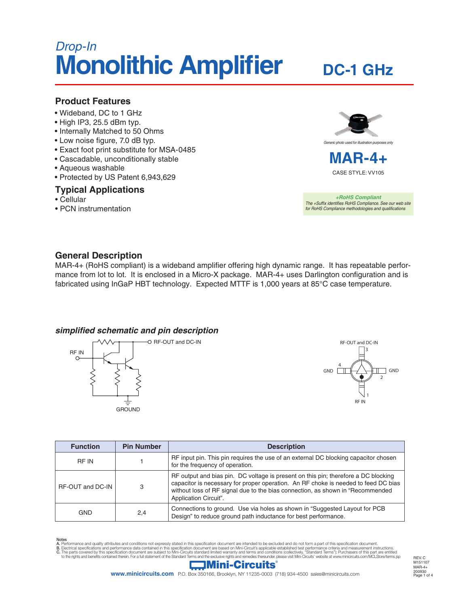# *Drop-In* **Monolithic Amplifier**

# **DC-1 GHz**

#### **Product Features**

- Wideband, DC to 1 GHz
- High IP3, 25.5 dBm typ.
- Internally Matched to 50 Ohms
- Low noise figure, 7.0 dB typ.
- Exact foot print substitute for MSA-0485
- Cascadable, unconditionally stable
- Aqueous washable
- Protected by US Patent 6,943,629

#### **Typical Applications**

- Cellular
- PCN instrumentation



CASE STYLE: VV105

*+RoHS Compliant The +Suffix identifies RoHS Compliance. See our web site for RoHS Compliance methodologies and qualifications*

## **General Description**

MAR-4+ (RoHS compliant) is a wideband amplifier offering high dynamic range. It has repeatable performance from lot to lot. It is enclosed in a Micro-X package. MAR-4+ uses Darlington configuration and is fabricated using InGaP HBT technology. Expected MTTF is 1,000 years at 85°C case temperature.

#### *simplified schematic and pin description*





| <b>Function</b>  | <b>Pin Number</b> | <b>Description</b>                                                                                                                                                                                                                                                                  |  |  |
|------------------|-------------------|-------------------------------------------------------------------------------------------------------------------------------------------------------------------------------------------------------------------------------------------------------------------------------------|--|--|
| <b>RF IN</b>     |                   | RF input pin. This pin requires the use of an external DC blocking capacitor chosen<br>for the frequency of operation.                                                                                                                                                              |  |  |
| RF-OUT and DC-IN | 3                 | RF output and bias pin. DC voltage is present on this pin; therefore a DC blocking<br>capacitor is necessary for proper operation. An RF choke is needed to feed DC bias<br>without loss of RF signal due to the bias connection, as shown in "Recommended<br>Application Circuit". |  |  |
| <b>GND</b>       | 2,4               | Connections to ground. Use via holes as shown in "Suggested Layout for PCB<br>Design" to reduce ground path inductance for best performance.                                                                                                                                        |  |  |

Notes<br>A. Performance and quality attributes and conditions not expressly stated in this specification document are intended to be excluded and do not form a part of this specification document.<br>B. Electrical specifications



Page 1 of 4 REV. C M151107 MAR-4+ 200930

**www.minicircuits.com** P.O. Box 350166, Brooklyn, NY 11235-0003 (718) 934-4500 sales@minicircuits.com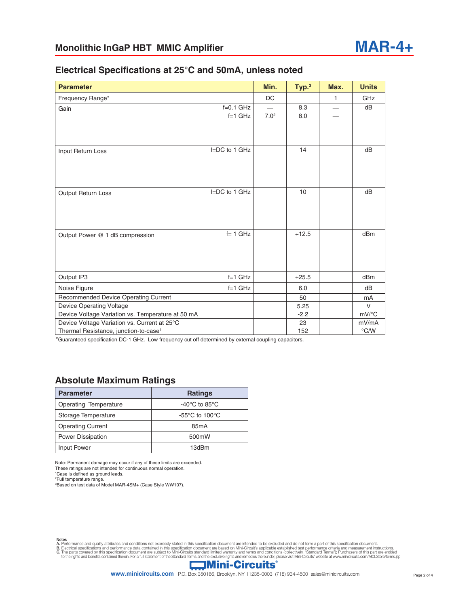#### **Electrical Specifications at 25°C and 50mA, unless noted**

| <b>Parameter</b>                                  |                          | Min.                                               | Typ. <sup>3</sup> | Max. | <b>Units</b>        |
|---------------------------------------------------|--------------------------|----------------------------------------------------|-------------------|------|---------------------|
| Frequency Range*                                  |                          | DC                                                 |                   | 1    | <b>GHz</b>          |
| Gain                                              | $f=0.1$ GHz<br>$f=1$ GHz | $\qquad \qquad \longleftarrow$<br>7.0 <sup>2</sup> | 8.3<br>8.0        |      | dB                  |
| Input Return Loss                                 | $f = DC$ to 1 GHz        |                                                    | 14                |      | dB                  |
| <b>Output Return Loss</b>                         | $f = DC$ to 1 GHz        |                                                    | 10                |      | dB                  |
| Output Power @ 1 dB compression                   | $f = 1$ GHz              |                                                    | $+12.5$           |      | dB <sub>m</sub>     |
| Output IP3                                        | $f=1$ GHz                |                                                    | $+25.5$           |      | dB <sub>m</sub>     |
| Noise Figure                                      | $f=1$ GHz                |                                                    | 6.0               |      | dB                  |
| Recommended Device Operating Current              |                          |                                                    | 50                |      | mA                  |
| <b>Device Operating Voltage</b>                   |                          |                                                    | 5.25              |      | $\vee$              |
| Device Voltage Variation vs. Temperature at 50 mA |                          |                                                    | $-2.2$            |      | $mV$ <sup>o</sup> C |
| Device Voltage Variation vs. Current at 25°C      |                          |                                                    | 23                |      | mV/mA               |
| Thermal Resistance, junction-to-case <sup>1</sup> |                          |                                                    | 152               |      | $\degree$ C/W       |

\*Guaranteed specification DC-1 GHz. Low frequency cut off determined by external coupling capacitors.

#### **Absolute Maximum Ratings**

| <b>Parameter</b>         | <b>Ratings</b>                      |  |
|--------------------------|-------------------------------------|--|
| Operating Temperature    | -40 $^{\circ}$ C to 85 $^{\circ}$ C |  |
| Storage Temperature      | $-55^{\circ}$ C to 100 $^{\circ}$ C |  |
| <b>Operating Current</b> | 85 <sub>m</sub> A                   |  |
| <b>Power Dissipation</b> | 500mW                               |  |
| Input Power              | 13dBm                               |  |

Note: Permanent damage may occur if any of these limits are exceeded.

These ratings are not intended for continuous normal operation.

1 Case is defined as ground leads. 2 Full temperature range.

3 Based on test data of Model MAR-4SM+ (Case Style WW107).

Notes<br>A. Performance and quality attributes and conditions not expressly stated in this specification document are intended to be excluded and do not form a part of this specification document.<br>B. Electrical specifications

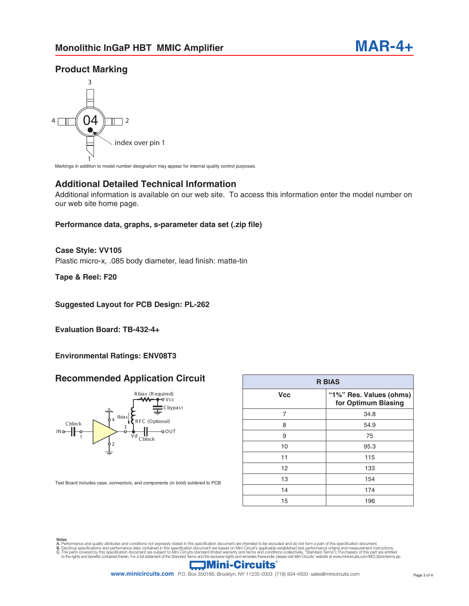## **Product Marking**



Markings in addition to model number designation may appear for internal quality control purposes.

#### **Additional Detailed Technical Information**

Additional information is available on our web site. To access this information enter the model number on our web site home page.

#### **Performance data, graphs, s-parameter data set (.zip file)**

Plastic micro-x, .085 body diameter, lead finish: matte-tin **Case Style: VV105**

**Tape & Reel: F20**

#### **Suggested Layout for PCB Design: PL-262**

**Evaluation Board: TB-432-4+**

#### **Environmental Ratings: ENV08T3**

#### **Recommended Application Circuit**



| <b>R BIAS</b> |                                                |  |  |  |  |
|---------------|------------------------------------------------|--|--|--|--|
| <b>Vcc</b>    | "1%" Res. Values (ohms)<br>for Optimum Biasing |  |  |  |  |
| 7             | 34.8                                           |  |  |  |  |
| 8             | 54.9                                           |  |  |  |  |
| 9             | 75                                             |  |  |  |  |
| 10            | 95.3                                           |  |  |  |  |
| 11            | 115                                            |  |  |  |  |
| 12            | 133                                            |  |  |  |  |
| 13            | 154                                            |  |  |  |  |
| 14            | 174                                            |  |  |  |  |
| 15            | 196                                            |  |  |  |  |

Test Board includes case, connectors, and components (in bold) soldered to PCB

Notes<br>A. Performance and quality attributes and conditions not expressly stated in this specification document are intended to be excluded and do not form a part of this specification document.<br>B. Electrical specifications



**www.minicircuits.com** P.O. Box 350166, Brooklyn, NY 11235-0003 (718) 934-4500 sales@minicircuits.com Page 3 of 4